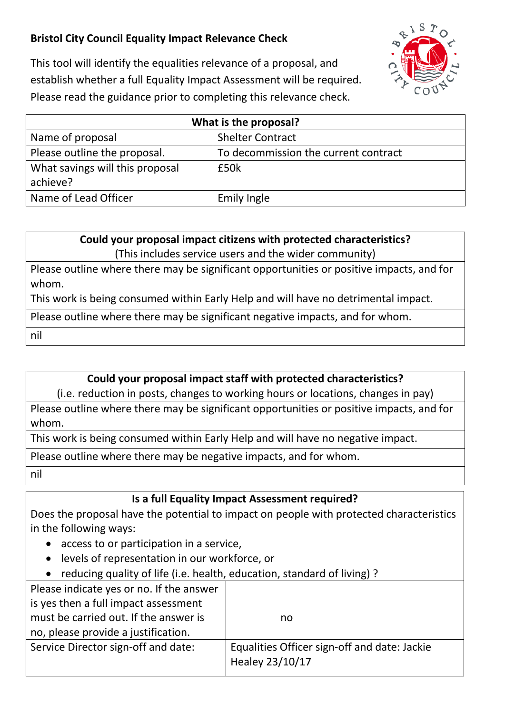## **Bristol City Council Equality Impact Relevance Check**



This tool will identify the equalities relevance of a proposal, and establish whether a full Equality Impact Assessment will be required. Please read the guidance prior to completing this relevance check.

| What is the proposal?           |                                      |  |
|---------------------------------|--------------------------------------|--|
| Name of proposal                | <b>Shelter Contract</b>              |  |
| Please outline the proposal.    | To decommission the current contract |  |
| What savings will this proposal | £50k                                 |  |
| achieve?                        |                                      |  |
| Name of Lead Officer            | <b>Emily Ingle</b>                   |  |

**Could your proposal impact citizens with protected characteristics?** (This includes service users and the wider community)

Please outline where there may be significant opportunities or positive impacts, and for whom.

This work is being consumed within Early Help and will have no detrimental impact.

Please outline where there may be significant negative impacts, and for whom.

nil

## **Could your proposal impact staff with protected characteristics?**

(i.e. reduction in posts, changes to working hours or locations, changes in pay)

Please outline where there may be significant opportunities or positive impacts, and for whom.

This work is being consumed within Early Help and will have no negative impact.

Please outline where there may be negative impacts, and for whom.

nil

## **Is a full Equality Impact Assessment required?**

Does the proposal have the potential to impact on people with protected characteristics in the following ways:

- access to or participation in a service,
- levels of representation in our workforce, or
- reducing quality of life (i.e. health, education, standard of living) ?

| Please indicate yes or no. If the answer |                                                                 |
|------------------------------------------|-----------------------------------------------------------------|
| is yes then a full impact assessment     |                                                                 |
| must be carried out. If the answer is    | no                                                              |
| no, please provide a justification.      |                                                                 |
| Service Director sign-off and date:      | Equalities Officer sign-off and date: Jackie<br>Healey 23/10/17 |